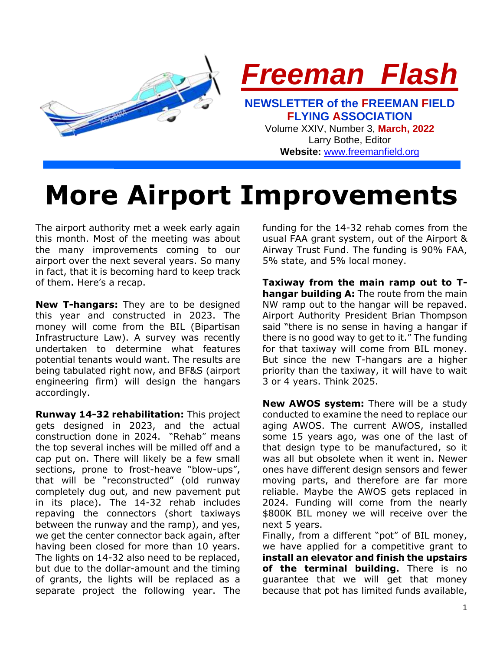

# **More Airport Improvements**

The airport authority met a week early again this month. Most of the meeting was about the many improvements coming to our airport over the next several years. So many in fact, that it is becoming hard to keep track of them. Here's a recap.

**New T-hangars:** They are to be designed this year and constructed in 2023. The money will come from the BIL (Bipartisan Infrastructure Law). A survey was recently undertaken to determine what features potential tenants would want. The results are being tabulated right now, and BF&S (airport engineering firm) will design the hangars accordingly.

**Runway 14-32 rehabilitation:** This project gets designed in 2023, and the actual construction done in 2024. "Rehab" means the top several inches will be milled off and a cap put on. There will likely be a few small sections, prone to frost-heave "blow-ups", that will be "reconstructed" (old runway completely dug out, and new pavement put in its place). The 14-32 rehab includes repaving the connectors (short taxiways between the runway and the ramp), and yes, we get the center connector back again, after having been closed for more than 10 years. The lights on 14-32 also need to be replaced, but due to the dollar-amount and the timing of grants, the lights will be replaced as a separate project the following year. The funding for the 14-32 rehab comes from the usual FAA grant system, out of the Airport & Airway Trust Fund. The funding is 90% FAA, 5% state, and 5% local money.

**Taxiway from the main ramp out to Thangar building A:** The route from the main NW ramp out to the hangar will be repaved. Airport Authority President Brian Thompson said "there is no sense in having a hangar if there is no good way to get to it." The funding for that taxiway will come from BIL money. But since the new T-hangars are a higher priority than the taxiway, it will have to wait 3 or 4 years. Think 2025.

**New AWOS system:** There will be a study conducted to examine the need to replace our aging AWOS. The current AWOS, installed some 15 years ago, was one of the last of that design type to be manufactured, so it was all but obsolete when it went in. Newer ones have different design sensors and fewer moving parts, and therefore are far more reliable. Maybe the AWOS gets replaced in 2024. Funding will come from the nearly \$800K BIL money we will receive over the next 5 years.

Finally, from a different "pot" of BIL money, we have applied for a competitive grant to **install an elevator and finish the upstairs of the terminal building.** There is no guarantee that we will get that money because that pot has limited funds available,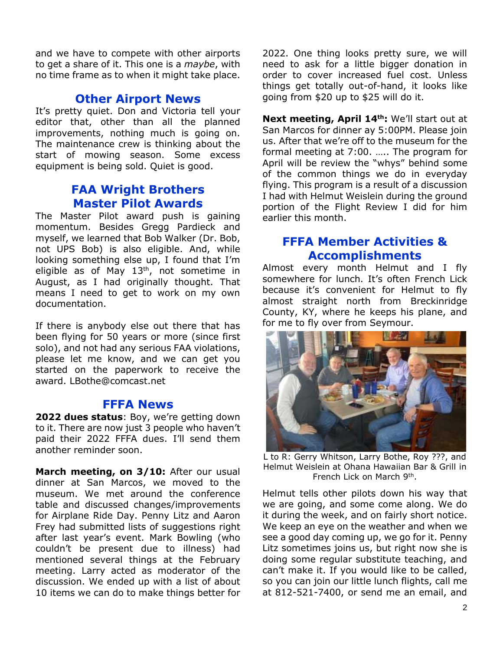and we have to compete with other airports to get a share of it. This one is a *maybe*, with no time frame as to when it might take place.

## **Other Airport News**

It's pretty quiet. Don and Victoria tell vour editor that, other than all the planned improvements, nothing much is going on. The maintenance crew is thinking about the start of mowing season. Some excess equipment is being sold. Quiet is good.

# **FAA Wright Brothers Master Pilot Awards**

The Master Pilot award push is gaining momentum. Besides Gregg Pardieck and myself, we learned that Bob Walker (Dr. Bob, not UPS Bob) is also eligible. And, while looking something else up, I found that I'm eligible as of May  $13<sup>th</sup>$ , not sometime in August, as I had originally thought. That means I need to get to work on my own documentation.

If there is anybody else out there that has been flying for 50 years or more (since first solo), and not had any serious FAA violations, please let me know, and we can get you started on the paperwork to receive the award. LBothe@comcast.net

### **FFFA News**

**2022 dues status**: Boy, we're getting down to it. There are now just 3 people who haven't paid their 2022 FFFA dues. I'll send them another reminder soon.

March meeting, on 3/10: After our usual dinner at San Marcos, we moved to the museum. We met around the conference table and discussed changes/improvements for Airplane Ride Day. Penny Litz and Aaron Frey had submitted lists of suggestions right after last year's event. Mark Bowling (who couldn't be present due to illness) had mentioned several things at the February meeting. Larry acted as moderator of the discussion. We ended up with a list of about 10 items we can do to make things better for

2022. One thing looks pretty sure, we will need to ask for a little bigger donation in order to cover increased fuel cost. Unless things get totally out-of-hand, it looks like going from \$20 up to \$25 will do it.

**Next meeting, April 14th:** We'll start out at San Marcos for dinner ay 5:00PM. Please join us. After that we're off to the museum for the formal meeting at 7:00. ….. The program for April will be review the "whys" behind some of the common things we do in everyday flying. This program is a result of a discussion I had with Helmut Weislein during the ground portion of the Flight Review I did for him earlier this month.

# **FFFA Member Activities & Accomplishments**

Almost every month Helmut and I fly somewhere for lunch. It's often French Lick because it's convenient for Helmut to fly almost straight north from Breckinridge County, KY, where he keeps his plane, and for me to fly over from Seymour.



L to R: Gerry Whitson, Larry Bothe, Roy ???, and Helmut Weislein at Ohana Hawaiian Bar & Grill in French Lick on March 9<sup>th</sup>.

Helmut tells other pilots down his way that we are going, and some come along. We do it during the week, and on fairly short notice. We keep an eye on the weather and when we see a good day coming up, we go for it. Penny Litz sometimes joins us, but right now she is doing some regular substitute teaching, and can't make it. If you would like to be called, so you can join our little lunch flights, call me at 812-521-7400, or send me an email, and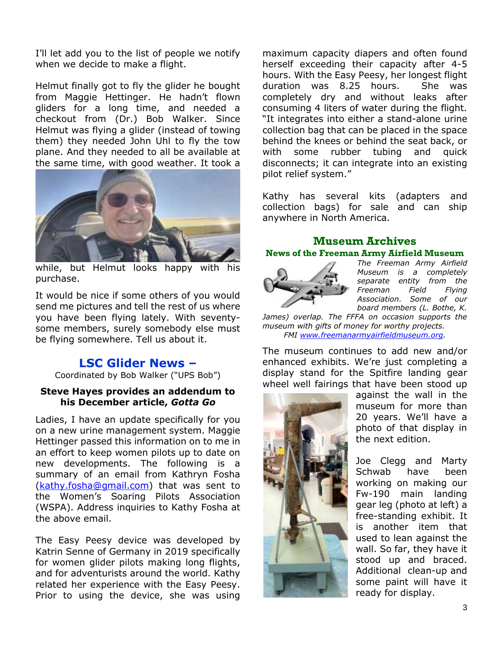I'll let add you to the list of people we notify when we decide to make a flight.

Helmut finally got to fly the glider he bought from Maggie Hettinger. He hadn't flown gliders for a long time, and needed a checkout from (Dr.) Bob Walker. Since Helmut was flying a glider (instead of towing them) they needed John Uhl to fly the tow plane. And they needed to all be available at the same time, with good weather. It took a



while, but Helmut looks happy with his purchase.

It would be nice if some others of you would send me pictures and tell the rest of us where you have been flying lately. With seventysome members, surely somebody else must be flying somewhere. Tell us about it.

## **LSC Glider News –**

Coordinated by Bob Walker ("UPS Bob")

#### **Steve Hayes provides an addendum to his December article,** *Gotta Go*

Ladies, I have an update specifically for you on a new urine management system. Maggie Hettinger passed this information on to me in an effort to keep women pilots up to date on new developments. The following is a summary of an email from Kathryn Fosha [\(kathy.fosha@gmail.com\)](mailto:kathy.fosha@gmail.com) that was sent to the Women's Soaring Pilots Association (WSPA). Address inquiries to Kathy Fosha at the above email.

The Easy Peesy device was developed by Katrin Senne of Germany in 2019 specifically for women glider pilots making long flights, and for adventurists around the world. Kathy related her experience with the Easy Peesy. Prior to using the device, she was using

maximum capacity diapers and often found herself exceeding their capacity after 4-5 hours. With the Easy Peesy, her longest flight duration was 8.25 hours. She was completely dry and without leaks after consuming 4 liters of water during the flight. "It integrates into either a stand-alone urine collection bag that can be placed in the space behind the knees or behind the seat back, or with some rubber tubing and quick disconnects; it can integrate into an existing pilot relief system."

Kathy has several kits (adapters and collection bags) for sale and can ship anywhere in North America.

## **Museum Archives News of the Freeman Army Airfield Museum**



*The Freeman Army Airfield Museum is a completely separate entity from the Freeman Field Flying Association. Some of our board members (L. Bothe, K.* 

*James) overlap. The FFFA on occasion supports the museum with gifts of money for worthy projects. FMI [www.freemanarmyairfieldmuseum.org.](http://www.freemanarmyairfieldmuseum.org/)*

The museum continues to add new and/or enhanced exhibits. We're just completing a display stand for the Spitfire landing gear wheel well fairings that have been stood up



against the wall in the museum for more than 20 years. We'll have a photo of that display in the next edition.

Joe Clegg and Marty Schwab have been working on making our Fw-190 main landing gear leg (photo at left) a free-standing exhibit. It is another item that used to lean against the wall. So far, they have it stood up and braced. Additional clean-up and some paint will have it ready for display.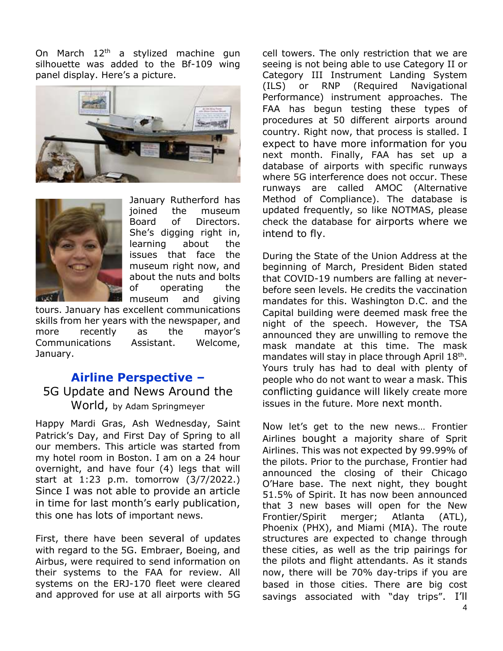On March  $12<sup>th</sup>$  a stylized machine gun silhouette was added to the Bf-109 wing panel display. Here's a picture.





January Rutherford has joined the museum Board of Directors. She's digging right in, learning about the issues that face the museum right now, and about the nuts and bolts of operating the museum and giving

tours. January has excellent communications skills from her years with the newspaper, and more recently as the mayor's Communications Assistant. Welcome, January.

# **Airline Perspective –** 5G Update and News Around the World, by Adam Springmeyer

Happy Mardi Gras, Ash Wednesday, Saint Patrick's Day, and First Day of Spring to all our members. This article was started from my hotel room in Boston. I am on a 24 hour overnight, and have four (4) legs that will start at 1:23 p.m. tomorrow (3/7/2022.) Since I was not able to provide an article in time for last month's early publication, this one has lots of important news.

First, there have been several of updates with regard to the 5G. Embraer, Boeing, and Airbus, were required to send information on their systems to the FAA for review. All systems on the ERJ-170 fleet were cleared and approved for use at all airports with 5G

cell towers. The only restriction that we are seeing is not being able to use Category II or Category III Instrument Landing System (ILS) or RNP (Required Navigational Performance) instrument approaches. The FAA has begun testing these types of procedures at 50 different airports around country. Right now, that process is stalled. I expect to have more information for you next month. Finally, FAA has set up a database of airports with specific runways where 5G interference does not occur. These runways are called AMOC (Alternative Method of Compliance). The database is updated frequently, so like NOTMAS, please check the database for airports where we intend to fly.

During the State of the Union Address at the beginning of March, President Biden stated that COVID-19 numbers are falling at neverbefore seen levels. He credits the vaccination mandates for this. Washington D.C. and the Capital building were deemed mask free the night of the speech. However, the TSA announced they are unwilling to remove the mask mandate at this time. The mask mandates will stay in place through April 18<sup>th</sup>. Yours truly has had to deal with plenty of people who do not want to wear a mask. This conflicting guidance will likely create more issues in the future. More next month.

Now let's get to the new news… Frontier Airlines bought a majority share of Sprit Airlines. This was not expected by 99.99% of the pilots. Prior to the purchase, Frontier had announced the closing of their Chicago O'Hare base. The next night, they bought 51.5% of Spirit. It has now been announced that 3 new bases will open for the New Frontier/Spirit merger; Atlanta (ATL), Phoenix (PHX), and Miami (MIA). The route structures are expected to change through these cities, as well as the trip pairings for the pilots and flight attendants. As it stands now, there will be 70% day-trips if you are based in those cities. There are big cost savings associated with "day trips". I'll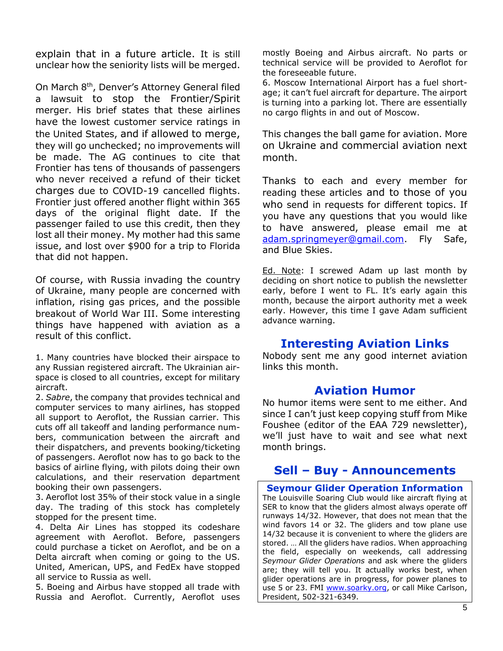explain that in a future article. It is still unclear how the seniority lists will be merged.

On March 8th, Denver's Attorney General filed a lawsuit to stop the Frontier/Spirit merger. His brief states that these airlines have the lowest customer service ratings in the United States, and if allowed to merge, they will go unchecked; no improvements will be made. The AG continues to cite that Frontier has tens of thousands of passengers who never received a refund of their ticket charges due to COVID-19 cancelled flights. Frontier just offered another flight within 365 days of the original flight date. If the passenger failed to use this credit, then they lost all their money. My mother had this same issue, and lost over \$900 for a trip to Florida that did not happen.

Of course, with Russia invading the country of Ukraine, many people are concerned with inflation, rising gas prices, and the possible breakout of World War III. Some interesting things have happened with aviation as a result of this conflict.

1. Many countries have blocked their airspace to any Russian registered aircraft. The Ukrainian airspace is closed to all countries, except for military aircraft.

2. *Sabre*, the company that provides technical and computer services to many airlines, has stopped all support to Aeroflot, the Russian carrier. This cuts off all takeoff and landing performance numbers, communication between the aircraft and their dispatchers, and prevents booking/ticketing of passengers. Aeroflot now has to go back to the basics of airline flying, with pilots doing their own calculations, and their reservation department booking their own passengers.

3. Aeroflot lost 35% of their stock value in a single day. The trading of this stock has completely stopped for the present time.

4. Delta Air Lines has stopped its codeshare agreement with Aeroflot. Before, passengers could purchase a ticket on Aeroflot, and be on a Delta aircraft when coming or going to the US. United, American, UPS, and FedEx have stopped all service to Russia as well.

5. Boeing and Airbus have stopped all trade with Russia and Aeroflot. Currently, Aeroflot uses

mostly Boeing and Airbus aircraft. No parts or technical service will be provided to Aeroflot for the foreseeable future.

6. Moscow International Airport has a fuel shortage; it can't fuel aircraft for departure. The airport is turning into a parking lot. There are essentially no cargo flights in and out of Moscow.

This changes the ball game for aviation. More on Ukraine and commercial aviation next month.

Thanks to each and every member for reading these articles and to those of you who send in requests for different topics. If you have any questions that you would like to have answered, please email me at [adam.springmeyer@gmail.com.](mailto:adam.springmeyer@gmail.com) Fly Safe, and Blue Skies.

Ed. Note: I screwed Adam up last month by deciding on short notice to publish the newsletter early, before I went to FL. It's early again this month, because the airport authority met a week early. However, this time I gave Adam sufficient advance warning.

# **Interesting Aviation Links**

Nobody sent me any good internet aviation links this month.

# **Aviation Humor**

No humor items were sent to me either. And since I can't just keep copying stuff from Mike Foushee (editor of the EAA 729 newsletter), we'll just have to wait and see what next month brings.

# **Sell – Buy - Announcements**

**Seymour Glider Operation Information** The Louisville Soaring Club would like aircraft flying at SER to know that the gliders almost always operate off runways 14/32. However, that does not mean that the wind favors 14 or 32. The gliders and tow plane use 14/32 because it is convenient to where the gliders are stored. … All the gliders have radios. When approaching the field, especially on weekends, call addressing *Seymour Glider Operations* and ask where the gliders are; they will tell you. It actually works best, when glider operations are in progress, for power planes to use 5 or 23. FMI [www.soarky.org,](http://www.soarky.org/) or call Mike Carlson, President, 502-321-6349.